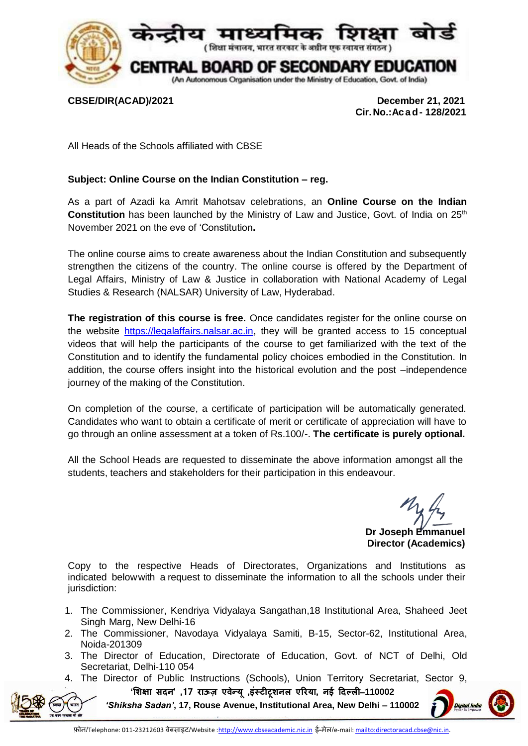

**CBSE/DIR(ACAD)/2021 December 21, 2021 Cir.No.:Acad- 128/2021**

All Heads of the Schools affiliated with CBSE

## **Subject: Online Course on the Indian Constitution – reg.**

As a part of Azadi ka Amrit Mahotsav celebrations, an **Online Course on the Indian Constitution** has been launched by the Ministry of Law and Justice, Govt. of India on 25<sup>th</sup> November 2021 on the eve of 'Constitution**.** 

The online course aims to create awareness about the Indian Constitution and subsequently strengthen the citizens of the country. The online course is offered by the Department of Legal Affairs, Ministry of Law & Justice in collaboration with National Academy of Legal Studies & Research (NALSAR) University of Law, Hyderabad.

**The registration of this course is free.** Once candidates register for the online course on the website [https://legalaffairs.nalsar.ac.in,](https://legalaffairs.nalsar.ac.in/) they will be granted access to 15 conceptual videos that will help the participants of the course to get familiarized with the text of the Constitution and to identify the fundamental policy choices embodied in the Constitution. In addition, the course offers insight into the historical evolution and the post –independence journey of the making of the Constitution.

On completion of the course, a certificate of participation will be automatically generated. Candidates who want to obtain a certificate of merit or certificate of appreciation will have to go through an online assessment at a token of Rs.100/-. **The certificate is purely optional.**

All the School Heads are requested to disseminate the above information amongst all the students, teachers and stakeholders for their participation in this endeavour.

**Dr Joseph Emmanuel Director (Academics)**

Copy to the respective Heads of Directorates, Organizations and Institutions as indicated belowwith a request to disseminate the information to all the schools under their jurisdiction:

- 1. The Commissioner, Kendriya Vidyalaya Sangathan,18 Institutional Area, Shaheed Jeet Singh Marg, New Delhi-16
- 2. The Commissioner, Navodaya Vidyalaya Samiti, B-15, Sector-62, Institutional Area, Noida-201309
- 3. The Director of Education, Directorate of Education, Govt. of NCT of Delhi, Old Secretariat, Delhi-110 054
- **'शिक्षा सदन' ,17 राऊज़ एवन्ेय , ू इंस्टीटूिनल एररया, नई ददल्ली**–**110002**  4. The Director of Public Instructions (Schools), Union Territory Secretariat, Sector 9,

*'Shiksha Sadan'***, 17, Rouse Avenue, Institutional Area, New Delhi – 110002**

Digital